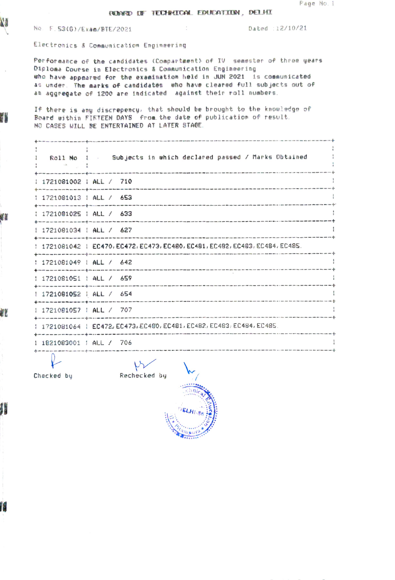## **RENGO DE TECHNICAL EDUCATION, DELHI**

No. F.53(6)/Exam/BTE/2021

N

7

u

æ

Æ

Dated : 12/10/21

Electronics & Communication Engineering

Performance of the candidates (Compartment) of IV semester of three years Diploma Course in Electronics & Communication Engineering who have appeared for the examination held in JUN 2021 is communicated as under. The marks of candidates who have cleared full subjects out of an aggregate of 1200 are indicated against their roll numbers.

If there is any discrepency, that should be brought to the knowledge of Board within FIFTEEN DAYS from the date of publication of result. NO CASES WILL BE ENTERTAINED AT LATER STAGE.

**State State** Roll No 1 5ubjects in which declared passed / Marks Obtained  $\mathbf{1}$ and the state of the 1 1721081002 1 ALL / 710  $\cdot$  $- - 4$ 1 1721081013 1 ALL / 653 - 1  $\frac{1}{2}$ : 1721081025 : ALL / 633 1721081034 | ALL / 627 -1 | 1721081042 | EC470, EC472, EC473, EC480, EC481, EC482, EC483, EC484, EC485. : 1721081049 : ALL / 642 : 1721081051 : ALL / 659 1 1721081052 : ALL / 654 1 1721081057 | ALL / 707 1 1721081064 1 EC472, EC473, EC480, EC481, EC482, EC483, EC484, EC485. 1 1821083001 : ALL / 706 

Checked by

 $\forall \forall$ Rechecked by